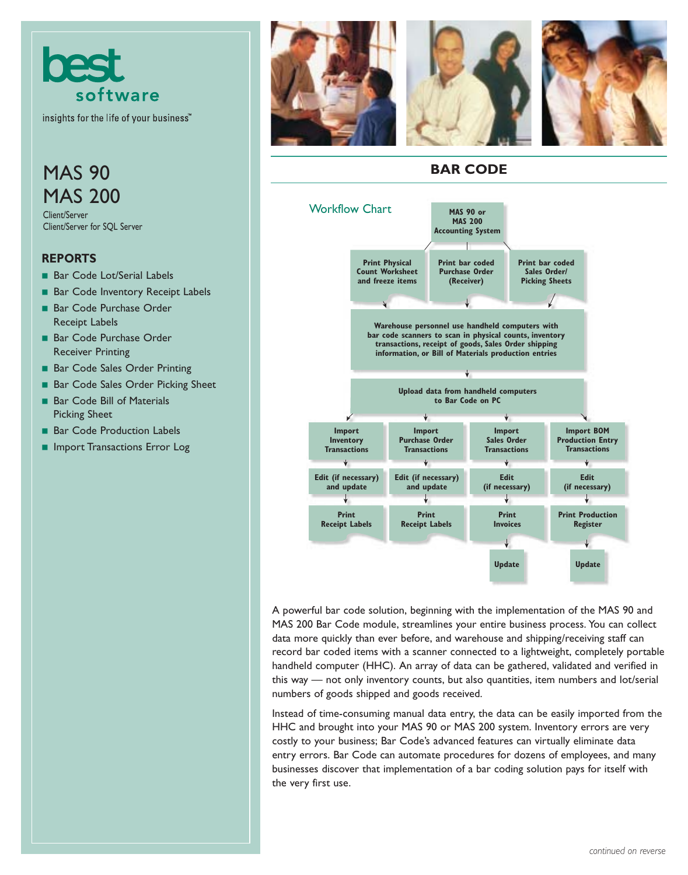

insights for the life of your business"

# **MAS 90** MAS 200

Client/Server Client/Server for SQL Server

### **REPORTS**

- Bar Code Lot/Serial Labels
- Bar Code Inventory Receipt Labels
- Bar Code Purchase Order Receipt Labels
- Bar Code Purchase Order Receiver Printing
- Bar Code Sales Order Printing
- Bar Code Sales Order Picking Sheet
- Bar Code Bill of Materials Picking Sheet
- Bar Code Production Labels
- Import Transactions Error Log



### **BAR CODE**



A powerful bar code solution, beginning with the implementation of the MAS 90 and MAS 200 Bar Code module, streamlines your entire business process. You can collect data more quickly than ever before, and warehouse and shipping/receiving staff can record bar coded items with a scanner connected to a lightweight, completely portable handheld computer (HHC). An array of data can be gathered, validated and verified in this way — not only inventory counts, but also quantities, item numbers and lot/serial numbers of goods shipped and goods received.

Instead of time-consuming manual data entry, the data can be easily imported from the HHC and brought into your MAS 90 or MAS 200 system. Inventory errors are very costly to your business; Bar Code's advanced features can virtually eliminate data entry errors. Bar Code can automate procedures for dozens of employees, and many businesses discover that implementation of a bar coding solution pays for itself with the very first use.